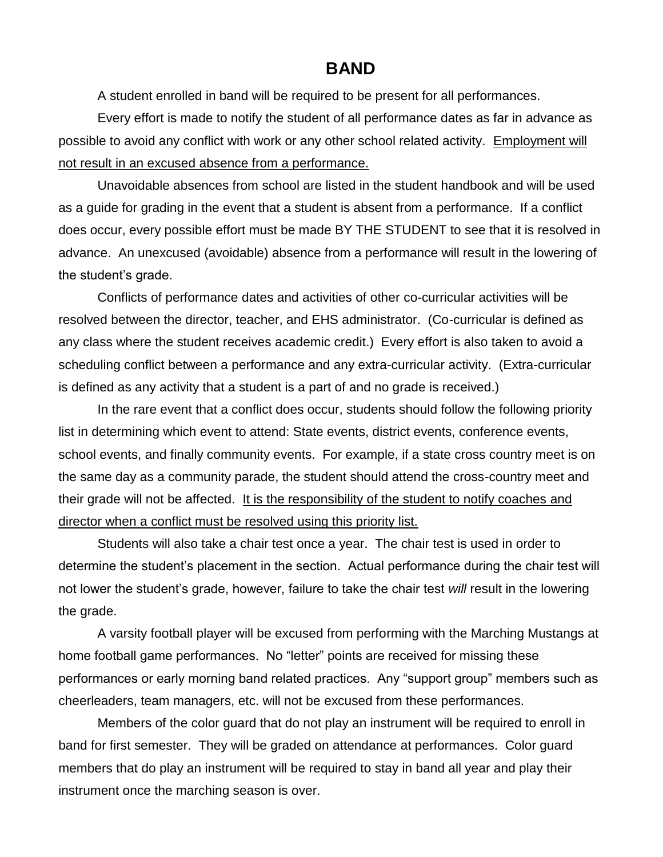## **BAND**

A student enrolled in band will be required to be present for all performances.

Every effort is made to notify the student of all performance dates as far in advance as possible to avoid any conflict with work or any other school related activity. Employment will not result in an excused absence from a performance.

Unavoidable absences from school are listed in the student handbook and will be used as a guide for grading in the event that a student is absent from a performance. If a conflict does occur, every possible effort must be made BY THE STUDENT to see that it is resolved in advance. An unexcused (avoidable) absence from a performance will result in the lowering of the student's grade.

Conflicts of performance dates and activities of other co-curricular activities will be resolved between the director, teacher, and EHS administrator. (Co-curricular is defined as any class where the student receives academic credit.) Every effort is also taken to avoid a scheduling conflict between a performance and any extra-curricular activity. (Extra-curricular is defined as any activity that a student is a part of and no grade is received.)

In the rare event that a conflict does occur, students should follow the following priority list in determining which event to attend: State events, district events, conference events, school events, and finally community events. For example, if a state cross country meet is on the same day as a community parade, the student should attend the cross-country meet and their grade will not be affected. It is the responsibility of the student to notify coaches and director when a conflict must be resolved using this priority list.

Students will also take a chair test once a year. The chair test is used in order to determine the student's placement in the section. Actual performance during the chair test will not lower the student's grade, however, failure to take the chair test *will* result in the lowering the grade.

A varsity football player will be excused from performing with the Marching Mustangs at home football game performances. No "letter" points are received for missing these performances or early morning band related practices. Any "support group" members such as cheerleaders, team managers, etc. will not be excused from these performances.

Members of the color guard that do not play an instrument will be required to enroll in band for first semester. They will be graded on attendance at performances. Color guard members that do play an instrument will be required to stay in band all year and play their instrument once the marching season is over.